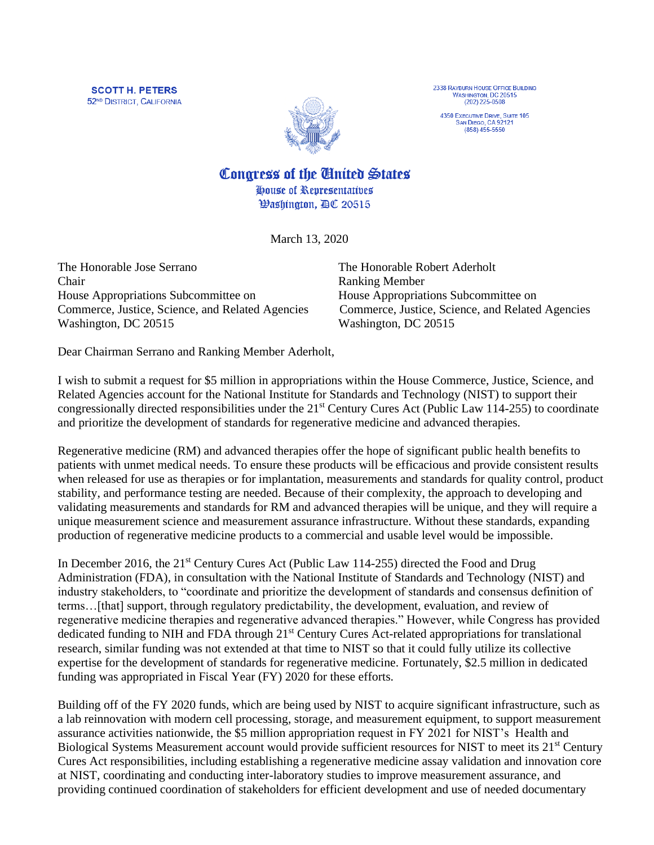**SCOTT H. PETERS** 52<sup>ND</sup> DISTRICT, CALIFORNIA



2338 RAYBURN HOUSE OFFICE BUILDING<br>WASHINGTON, DC 20515  $(202)$  225-0508

4350 EXECUTIVE DRIVE, SUITE 105<br>SAN DIEGO, CA 92121  $(858) 455 - 5550$ 

Congress of the Cinited States

House of Representatives *Washington, AC 20515* 

March 13, 2020

The Honorable Jose Serrano The Honorable Robert Aderholt Chair Ranking Member House Appropriations Subcommittee on House Appropriations Subcommittee on Commerce, Justice, Science, and Related Agencies Commerce, Justice, Science, and Related Agencies Washington, DC 20515 Washington, DC 20515

Dear Chairman Serrano and Ranking Member Aderholt,

I wish to submit a request for \$5 million in appropriations within the House Commerce, Justice, Science, and Related Agencies account for the National Institute for Standards and Technology (NIST) to support their congressionally directed responsibilities under the 21st Century Cures Act (Public Law 114-255) to coordinate and prioritize the development of standards for regenerative medicine and advanced therapies.

Regenerative medicine (RM) and advanced therapies offer the hope of significant public health benefits to patients with unmet medical needs. To ensure these products will be efficacious and provide consistent results when released for use as therapies or for implantation, measurements and standards for quality control, product stability, and performance testing are needed. Because of their complexity, the approach to developing and validating measurements and standards for RM and advanced therapies will be unique, and they will require a unique measurement science and measurement assurance infrastructure. Without these standards, expanding production of regenerative medicine products to a commercial and usable level would be impossible.

In December 2016, the  $21<sup>st</sup>$  Century Cures Act (Public Law 114-255) directed the Food and Drug Administration (FDA), in consultation with the National Institute of Standards and Technology (NIST) and industry stakeholders, to "coordinate and prioritize the development of standards and consensus definition of terms…[that] support, through regulatory predictability, the development, evaluation, and review of regenerative medicine therapies and regenerative advanced therapies." However, while Congress has provided dedicated funding to NIH and FDA through 21<sup>st</sup> Century Cures Act-related appropriations for translational research, similar funding was not extended at that time to NIST so that it could fully utilize its collective expertise for the development of standards for regenerative medicine. Fortunately, \$2.5 million in dedicated funding was appropriated in Fiscal Year (FY) 2020 for these efforts.

Building off of the FY 2020 funds, which are being used by NIST to acquire significant infrastructure, such as a lab reinnovation with modern cell processing, storage, and measurement equipment, to support measurement assurance activities nationwide, the \$5 million appropriation request in FY 2021 for NIST's Health and Biological Systems Measurement account would provide sufficient resources for NIST to meet its 21<sup>st</sup> Century Cures Act responsibilities, including establishing a regenerative medicine assay validation and innovation core at NIST, coordinating and conducting inter-laboratory studies to improve measurement assurance, and providing continued coordination of stakeholders for efficient development and use of needed documentary